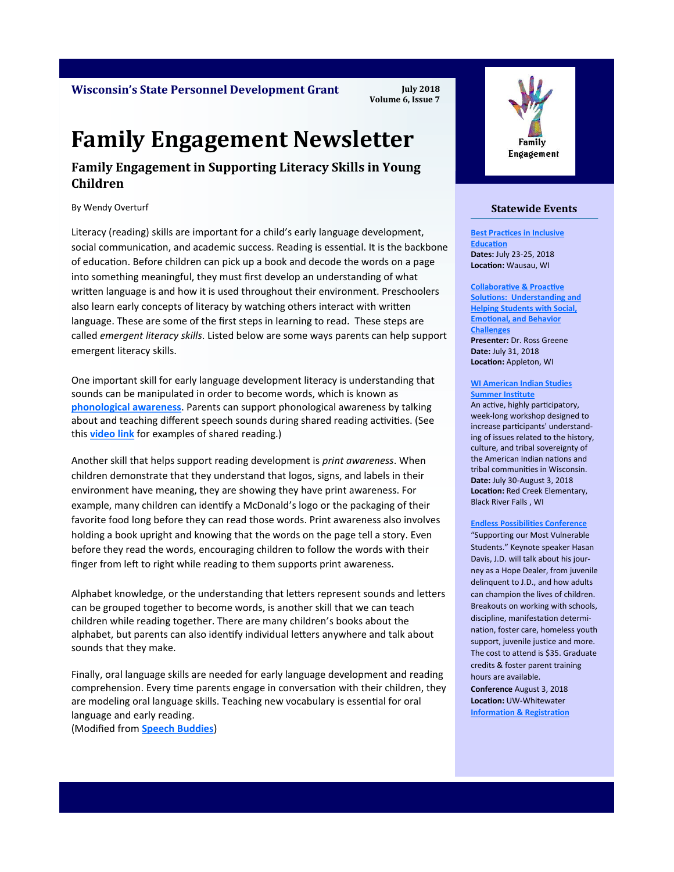**Wisconsin's State Personnel Development Grant**

**July 2018 Volume 6, Issue 7**

# **Family Engagement Newsletter**

### **Family Engagement in Supporting Literacy Skills in Young Children**

By Wendy Overturf

Literacy (reading) skills are important for a child's early language development, social communication, and academic success. Reading is essential. It is the backbone of education. Before children can pick up a book and decode the words on a page into something meaningful, they must first develop an understanding of what written language is and how it is used throughout their environment. Preschoolers also learn early concepts of literacy by watching others interact with written language. These are some of the first steps in learning to read. These steps are called *emergent literacy skills*. Listed below are some ways parents can help support emergent literacy skills.

One important skill for early language development literacy is understanding that sounds can be manipulated in order to become words, which is known as **[phonological awareness](https://www.speechbuddy.com/blog/apps/what-is-phonological-awareness/)**. Parents can support phonological awareness by talking about and teaching different speech sounds during shared reading activities. (See this **[video link](https://www.youtube.com/watch?v=HjzZA4QsCmk)** for examples of shared reading.)

Another skill that helps support reading development is *print awareness*. When children demonstrate that they understand that logos, signs, and labels in their environment have meaning, they are showing they have print awareness. For example, many children can identify a McDonald's logo or the packaging of their favorite food long before they can read those words. Print awareness also involves holding a book upright and knowing that the words on the page tell a story. Even before they read the words, encouraging children to follow the words with their finger from left to right while reading to them supports print awareness.

Alphabet knowledge, or the understanding that letters represent sounds and letters can be grouped together to become words, is another skill that we can teach children while reading together. There are many children's books about the alphabet, but parents can also identify individual letters anywhere and talk about sounds that they make.

Finally, oral language skills are needed for early language development and reading comprehension. Every time parents engage in conversation with their children, they are modeling oral language skills. Teaching new vocabulary is essential for oral language and early reading. (Modified from **[Speech Buddies](https://www.speechbuddy.com/blog/category/language-development/)**)



### **Statewide Events**

**[Best Practices in Inclusive](https://beloinandbrandl.com/)  [Education](https://beloinandbrandl.com/) Dates:** July 23-25, 2018 **Location:** Wausau, WI

**[Collaborative & Proactive](http://aepconnections.com/conferences-registration/)  [Solutions: Understanding and](http://aepconnections.com/conferences-registration/)  [Helping Students with Social,](http://aepconnections.com/conferences-registration/)  [Emotional, and Behavior](http://aepconnections.com/conferences-registration/)  Challenge Presenter:** Dr. Ross Greene **Date:** July 31, 2018 **Location:** Appleton, WI

#### **[WI American Indian Studies](https://calendar.wspei.org/eventdetails.php?id=845)  [Summer Institute](https://calendar.wspei.org/eventdetails.php?id=845)**

An active, highly participatory, week-long workshop designed to increase participants' understanding of issues related to the history, culture, and tribal sovereignty of the American Indian nations and tribal communities in Wisconsin. **Date:** July 30-August 3, 2018 **Location:** Red Creek Elementary, Black River Falls , WI

#### **[Endless Possibilities Conference](http://www.uww.edu/ce/workshops/professional-development/endlesspossibilitiesconference)**

"Supporting our Most Vulnerable Students." Keynote speaker Hasan Davis, J.D. will talk about his journey as a Hope Dealer, from juvenile delinquent to J.D., and how adults can champion the lives of children. Breakouts on working with schools, discipline, manifestation determination, foster care, homeless youth support, juvenile justice and more. The cost to attend is \$35. Graduate credits & foster parent training hours are available. **Conference** August 3, 2018 **Location:** UW-Whitewater **[Information & Registration](http://www.uww.edu/ce/workshops/professional-development/endlesspossibilitiesconference)**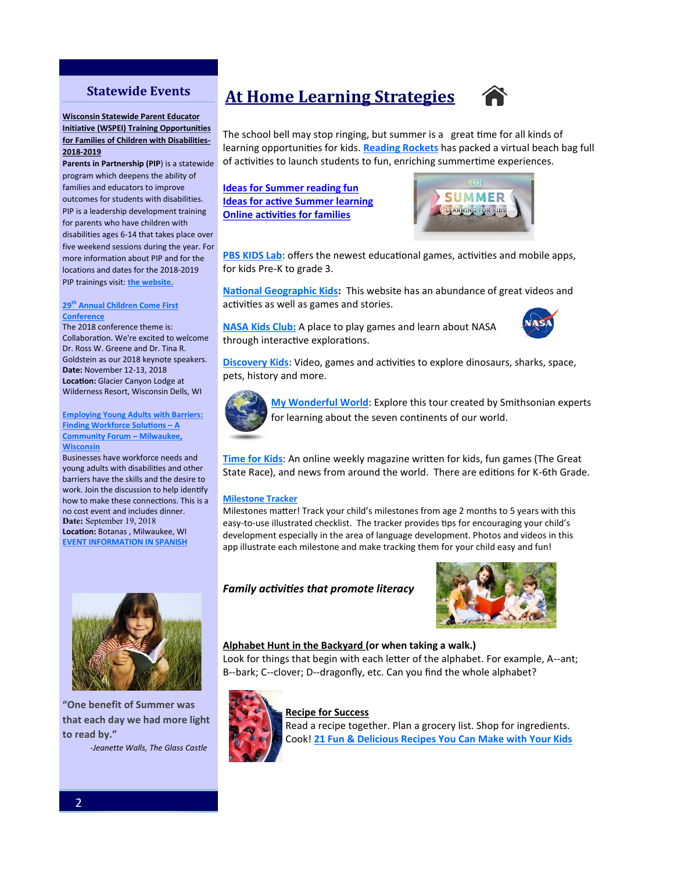### **Statewide Events**

#### **Wisconsin Statewide Parent Educator Initiative (WSPEI) Training Opportunities for Families of Children with Disabilities-2018-2019**

**Parents in Partnership (PIP**) is a statewide program which deepens the ability of families and educators to improve outcomes for students with disabilities. PIP is a leadership development training for parents who have children with disabilities ages 6-14 that takes place over five weekend sessions during the year. For more information about PIP and for the locations and dates for the 2018-2019 PIP trainings visit: **[the website.](http://wspei.org/families/yippe.php)**

#### **29th [Annual Children Come First](http://www.ccfconference.org/)  [Conference](http://www.ccfconference.org/)**

The 2018 conference theme is: Collaboration. We're excited to welcome Dr. Ross W. Greene and Dr. Tina R. Goldstein as our 2018 keynote speakers. **Date:** November 12-13, 2018 **Location:** Glacier Canyon Lodge at Wilderness Resort, Wisconsin Dells, WI

#### **[Employing Young Adults with Barriers:](file:///C:/Users/cstagge.FACETS/Desktop/Event Info - English.pdf)  [Finding Workforce Solutions –](file:///C:/Users/cstagge.FACETS/Desktop/Event Info - English.pdf) A [Community Forum –](file:///C:/Users/cstagge.FACETS/Desktop/Event Info - English.pdf) Milwaukee, [Wisconsin](file:///C:/Users/cstagge.FACETS/Desktop/Event Info - English.pdf)**

Businesses have workforce needs and young adults with disabilities and other barriers have the skills and the desire to work. Join the discussion to help identify how to make these connections. This is a no cost event and includes dinner. Date: September 19, 2018 **Location:** Botanas , Milwaukee, WI

**[EVENT INFORMATION IN SPANISH](file:///C:/Users/cstagge.FACETS/Desktop/Event Info - Spanish.pdf)**



**"One benefit of Summer was that each day we had more light to read by."**

 *-Jeanette Walls, The Glass Castle*

# **At Home Learning Strategies**



The school bell may stop ringing, but summer is a great time for all kinds of learning opportunities for kids. **[Reading Rockets](http://www.readingrockets.org/article/get-ready-summer-ideas-teachers-share-families)** has packed a virtual beach bag full of activities to launch students to fun, enriching summertime experiences.

### **[Ideas for Summer reading fun](http://www.readingrockets.org/article/23428#reading)  [Ideas for active Summer learning](http://www.readingrockets.org/article/23428#learning)  [Online activities for families](http://www.readingrockets.org/article/23428#online)**



**[PBS KIDS Lab](http://pbskids.org/lab)**: offers the newest educational games, activities and mobile apps, for kids Pre-K to grade 3.

**[National Geographic Kids:](http://kids.nationalgeographic.com/)** This website has an abundance of great videos and activities as well as games and stories.

**[NASA Kids Club:](https://www.nasa.gov/kidsclub/index.html)** A place to play games and learn about NASA through interactive explorations.



**[Discovery Kids](http://discoverykids.com/explore/)**: Video, games and activities to explore dinosaurs, sharks, space, pets, history and more.



**[My Wonderful World](http://www.smithsonianeducation.org/mywonderfulworld/)**: Explore this tour created by Smithsonian experts for learning about the seven continents of our world.

**[Time for Kids](http://www.timeforkids.com/)**: An online weekly magazine written for kids, fun games (The Great State Race), and news from around the world. There are editions for K-6th Grade.

#### **[Milestone Tracker](https://www.cdc.gov/ncbddd/actearly/milestones-app.html)**

Milestones matter! Track your child's milestones from age 2 months to 5 years with this easy-to-use illustrated checklist. The tracker provides tips for encouraging your child's development especially in the area of language development. Photos and videos in this app illustrate each milestone and make tracking them for your child easy and fun!

### *Family activities that promote literacy*



#### **Alphabet Hunt in the Backyard (or when taking a walk.)**

Look for things that begin with each letter of the alphabet. For example, A--ant; B--bark; C--clover; D--dragonfly, etc. Can you find the whole alphabet?



#### **Recipe for Success**

Read a recipe together. Plan a grocery list. Shop for ingredients. Cook! **[21 Fun & Delicious Recipes You Can Make with Your Kids](https://www.buzzfeed.com/melissaharrison/cooking-with-kids?utm_term=.xtng1eNXv#.srmlgXxVJ)**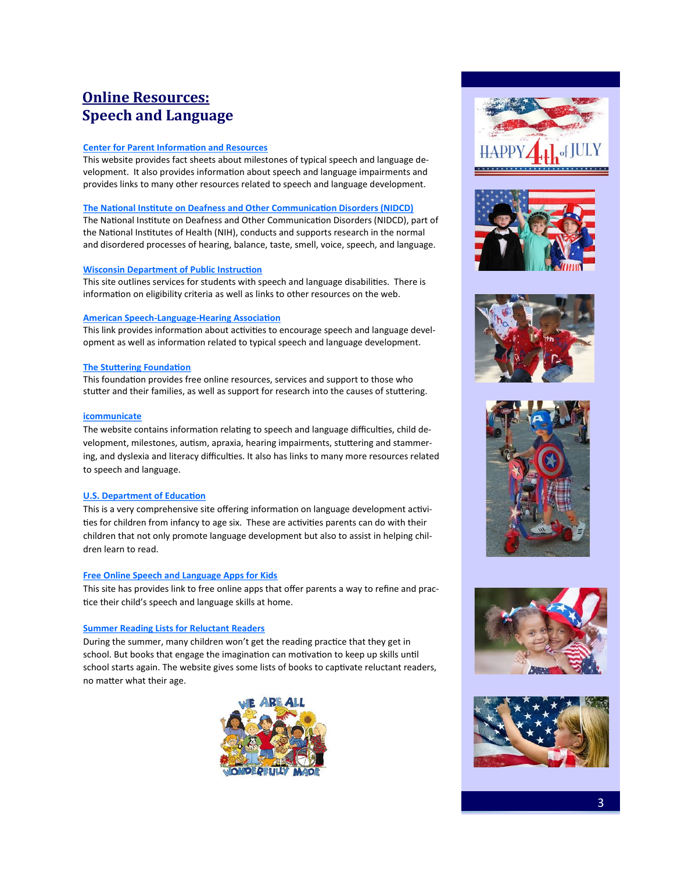# **Online Resources: Speech and Language**

#### **[Center for Parent Information and Resources](http://www.parentcenterhub.org/repository/speechlanguage/)**

This website provides fact sheets about milestones of typical speech and language development. It also provides information about speech and language impairments and provides links to many other resources related to speech and language development.

#### **[The National Institute on Deafness and Other Communication Disorders \(NIDCD\)](https://www.nidcd.nih.gov/health/voice-speech-and-language)**

The National Institute on Deafness and Other Communication Disorders (NIDCD), part of the National Institutes of Health (NIH), conducts and supports research in the normal and disordered processes of hearing, balance, taste, smell, voice, speech, and language.

#### **[Wisconsin Department of Public Instruction](https://dpi.wi.gov/sped/program/speech-language)**

This site outlines services for students with speech and language disabilities. There is information on eligibility criteria as well as links to other resources on the web.

#### **American Speech-Language-[Hearing Association](http://www.asha.org/public/speech/development/Parent-Stim-Activities.htm)**

This link provides information about activities to encourage speech and language development as well as information related to typical speech and language development.

#### **[The Stuttering Foundation](http://www.stutteringhelp.org/)**

This foundation provides free online resources, services and support to those who stutter and their families, as well as support for research into the causes of stuttering.

#### **[icommunicate](http://www.icommunicatetherapy.com/child-speech-language/)**

The website contains information relating to speech and language difficulties, child development, milestones, autism, apraxia, hearing impairments, stuttering and stammering, and dyslexia and literacy difficulties. It also has links to many more resources related to speech and language.

#### **[U.S. Department of Education](https://www2.ed.gov/parents/academic/help/reader/index.html)**

This is a very comprehensive site offering information on language development activities for children from infancy to age six. These are activities parents can do with their children that not only promote language development but also to assist in helping children learn to read.

#### **[Free Online Speech and Language Apps for Kids](https://www.speechbuddy.com/blog/games-and-activities/6-free-online-speech-therapy-resources/)**

This site has provides link to free online apps that offer parents a way to refine and practice their child's speech and language skills at home.

#### **[Summer Reading Lists for Reluctant Readers](https://www.understood.org/en/school-learning/learning-at-home/encouraging-reading-writing/summer-reading-lists?utm_campaign=partner&utm_source=rrockets&utm_medium=email&utm_content=extra)**

During the summer, many children won't get the reading practice that they get in school. But books that engage the imagination can motivation to keep up skills until school starts again. The website gives some lists of books to captivate reluctant readers, no matter what their age.













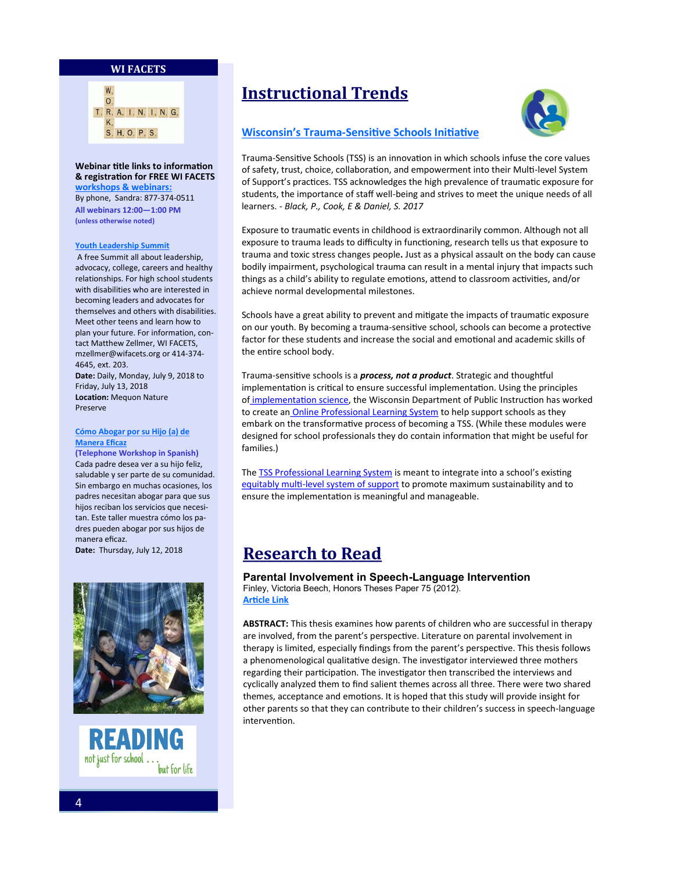#### **WI FACETS**



**Webinar title links to information & registration for FREE [WI FACETS](http://www.wifacets.org/events)  [workshops & webinars:](http://www.wifacets.org/events)**  By phone, Sandra: 877-374-0511 **All webinars 12:00—1:00 PM (unless otherwise noted)** 

#### **[Youth Leadership Summit](http://wifacets.org/events/event/youth-leadership-summit-5)**

A free Summit all about leadership, advocacy, college, careers and healthy relationships. For high school students with disabilities who are interested in becoming leaders and advocates for themselves and others with disabilities. Meet other teens and learn how to plan your future. For information, contact Matthew Zellmer, WI FACETS, mzellmer@wifacets.org or 414-374- 4645, ext. 203. **Date:** Daily, Monday, July 9, 2018 to Friday, July 13, 2018 **Location:** Mequon Nature Preserve

#### **[Cómo Abogar por su Hijo \(a\) de](http://wifacets.org/events/event/c%C3%B3mo-abogar-por-su-hijo-de-manera-eficaz)  [Manera Eficaz](http://wifacets.org/events/event/c%C3%B3mo-abogar-por-su-hijo-de-manera-eficaz)**

**(Telephone Workshop in Spanish)** Cada padre desea ver a su hijo feliz, saludable y ser parte de su comunidad. Sin embargo en muchas ocasiones, los padres necesitan abogar para que sus hijos reciban los servicios que necesitan. Este taller muestra cómo los padres pueden abogar por sus hijos de manera eficaz.

**Date:** Thursday, July 12, 2018





# **Instructional Trends**





Trauma-Sensitive Schools (TSS) is an innovation in which schools infuse the core values of safety, trust, choice, collaboration, and empowerment into their Multi-level System of Support's practices. TSS acknowledges the high prevalence of traumatic exposure for students, the importance of staff well-being and strives to meet the unique needs of all learners. - *Black, P., Cook, E & Daniel, S. 2017*

Exposure to traumatic events in childhood is extraordinarily common. Although not all exposure to trauma leads to difficulty in functioning, research tells us that exposure to trauma and toxic stress changes people**.** Just as a physical assault on the body can cause bodily impairment, psychological trauma can result in a mental injury that impacts such things as a child's ability to regulate emotions, attend to classroom activities, and/or achieve normal developmental milestones.

Schools have a great ability to prevent and mitigate the impacts of traumatic exposure on our youth. By becoming a trauma-sensitive school, schools can become a protective factor for these students and increase the social and emotional and academic skills of the entire school body.

Trauma-sensitive schools is a *process, not a product*. Strategic and thoughtful implementation is critical to ensure successful implementation. Using the principles of [implementation science,](http://nirn.fpg.unc.edu/) the Wisconsin Department of Public Instruction has worked to create an **[Online Professional Learning System](https://dpi.wi.gov/sspw/mental-health/trauma/modules)** to help support schools as they embark on the transformative process of becoming a TSS. (While these modules were designed for school professionals they do contain information that might be useful for families.)

The **TSS Professional Learning System** is meant to integrate into a school's existing equitably multi-[level system of support](https://dpi.wi.gov/sites/default/files/imce/rti/pdf/rti-emlss-framework.pdf) to promote maximum sustainability and to ensure the implementation is meaningful and manageable.

## **Research to Read**

**Parental Involvement in Speech-Language Intervention** Finley, Victoria Beech, Honors Theses Paper 75 (2012). **[Article Link](https://aquila.usm.edu/cgi/viewcontent.cgi?article=1074&context=honors_theses)**

**ABSTRACT:** This thesis examines how parents of children who are successful in therapy are involved, from the parent's perspective. Literature on parental involvement in therapy is limited, especially findings from the parent's perspective. This thesis follows a phenomenological qualitative design. The investigator interviewed three mothers regarding their participation. The investigator then transcribed the interviews and cyclically analyzed them to find salient themes across all three. There were two shared themes, acceptance and emotions. It is hoped that this study will provide insight for other parents so that they can contribute to their children's success in speech-language intervention.